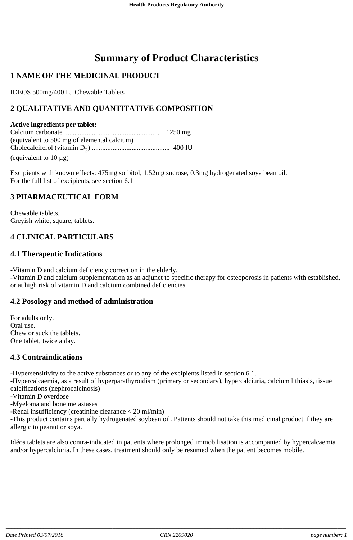# **Summary of Product Characteristics**

# **1 NAME OF THE MEDICINAL PRODUCT**

IDEOS 500mg/400 IU Chewable Tablets

# **2 QUALITATIVE AND QUANTITATIVE COMPOSITION**

#### **Active ingredients per tablet:**

Calcium carbonate ......................................................... 1250 mg (equivalent to 500 mg of elemental calcium) Cholecalciferol (vitamin D3) ............................................. 400 IU

(equivalent to  $10 \mu g$ )

Excipients with known effects: 475mg sorbitol, 1.52mg sucrose, 0.3mg hydrogenated soya bean oil. For the full list of excipients, see section 6.1

# **3 PHARMACEUTICAL FORM**

Chewable tablets. Greyish white, square, tablets.

# **4 CLINICAL PARTICULARS**

## **4.1 Therapeutic Indications**

-Vitamin D and calcium deficiency correction in the elderly. -Vitamin D and calcium supplementation as an adjunct to specific therapy for osteoporosis in patients with established, or at high risk of vitamin D and calcium combined deficiencies.

# **4.2 Posology and method of administration**

For adults only. Oral use. Chew or suck the tablets. One tablet, twice a day.

## **4.3 Contraindications**

-Hypersensitivity to the active substances or to any of the excipients listed in section 6.1.

-Hypercalcaemia, as a result of hyperparathyroidism (primary or secondary), hypercalciuria, calcium lithiasis, tissue calcifications (nephrocalcinosis)

-Vitamin D overdose

-Myeloma and bone metastases

-Renal insufficiency (creatinine clearance < 20 ml/min)

**-**This product contains partially hydrogenated soybean oil. Patients should not take this medicinal product if they are allergic to peanut or soya.

Idéos tablets are also contra-indicated in patients where prolonged immobilisation is accompanied by hypercalcaemia and/or hypercalciuria. In these cases, treatment should only be resumed when the patient becomes mobile.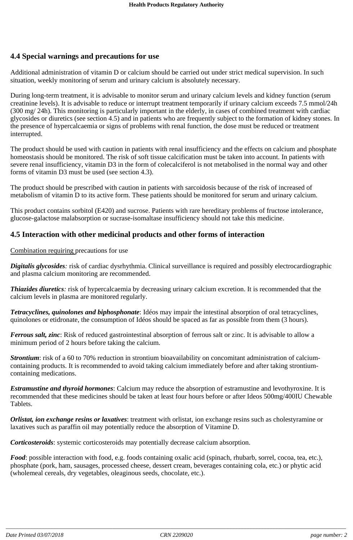# **4.4 Special warnings and precautions for use**

Additional administration of vitamin D or calcium should be carried out under strict medical supervision. In such situation, weekly monitoring of serum and urinary calcium is absolutely necessary.

During long-term treatment, it is advisable to monitor serum and urinary calcium levels and kidney function (serum creatinine levels). It is advisable to reduce or interrupt treatment temporarily if urinary calcium exceeds 7.5 mmol/24h (300 mg/ 24h). This monitoring is particularly important in the elderly, in cases of combined treatment with cardiac glycosides or diuretics (see section 4.5) and in patients who are frequently subject to the formation of kidney stones. In the presence of hypercalcaemia or signs of problems with renal function, the dose must be reduced or treatment interrupted.

The product should be used with caution in patients with renal insufficiency and the effects on calcium and phosphate homeostasis should be monitored. The risk of soft tissue calcification must be taken into account. In patients with severe renal insufficiency, vitamin D3 in the form of colecalciferol is not metabolised in the normal way and other forms of vitamin D3 must be used (see section 4.3).

The product should be prescribed with caution in patients with sarcoidosis because of the risk of increased of metabolism of vitamin D to its active form. These patients should be monitored for serum and urinary calcium.

This product contains sorbitol (E420) and sucrose. Patients with rare hereditary problems of fructose intolerance, glucose-galactose malabsorption or sucrase-isomaltase insufficiency should not take this medicine.

#### **4.5 Interaction with other medicinal products and other forms of interaction**

Combination requiring precautions for use

*Digitalis glycosides:* risk of cardiac dysrhythmia. Clinical surveillance is required and possibly electrocardiographic and plasma calcium monitoring are recommended.

*Thiazides diuretics:* risk of hypercalcaemia by decreasing urinary calcium excretion. It is recommended that the calcium levels in plasma are monitored regularly.

*Tetracyclines, quinolones and biphosphonate*: Idéos may impair the intestinal absorption of oral tetracyclines, quinolones or etidronate, the consumption of Idéos should be spaced as far as possible from them (3 hours).

*Ferrous salt, zinc*: Risk of reduced gastrointestinal absorption of ferrous salt or zinc. It is advisable to allow a minimum period of 2 hours before taking the calcium.

*Strontium*: risk of a 60 to 70% reduction in strontium bioavailability on concomitant administration of calciumcontaining products. It is recommended to avoid taking calcium immediately before and after taking strontiumcontaining medications.

*Estramustine and thyroid hormones*: Calcium may reduce the absorption of estramustine and levothyroxine. It is recommended that these medicines should be taken at least four hours before or after Ideos 500mg/400IU Chewable Tablets.

*Orlistat, ion exchange resins or laxatives*: treatment with orlistat, ion exchange resins such as cholestyramine or laxatives such as paraffin oil may potentially reduce the absorption of Vitamine D.

*Corticosteroids*: systemic corticosteroids may potentially decrease calcium absorption.

*Food*: possible interaction with food, e.g. foods containing oxalic acid (spinach, rhubarb, sorrel, cocoa, tea, etc.), phosphate (pork, ham, sausages, processed cheese, dessert cream, beverages containing cola, etc.) or phytic acid (wholemeal cereals, dry vegetables, oleaginous seeds, chocolate, etc.).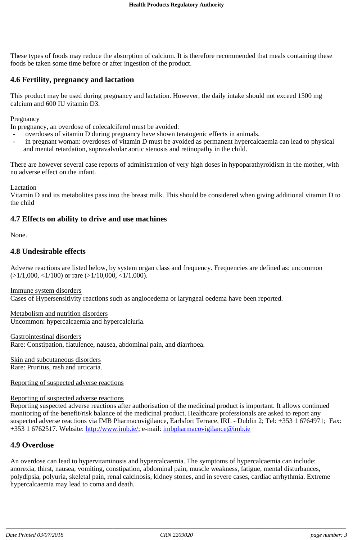These types of foods may reduce the absorption of calcium. It is therefore recommended that meals containing these foods be taken some time before or after ingestion of the product.

#### **4.6 Fertility, pregnancy and lactation**

This product may be used during pregnancy and lactation. However, the daily intake should not exceed 1500 mg calcium and 600 IU vitamin D3.

Pregnancy

In pregnancy, an overdose of colecalciferol must be avoided:

- overdoses of vitamin D during pregnancy have shown teratogenic effects in animals.
- in pregnant woman: overdoses of vitamin D must be avoided as permanent hypercalcaemia can lead to physical and mental retardation, supravalvular aortic stenosis and retinopathy in the child.

There are however several case reports of administration of very high doses in hypoparathyroidism in the mother, with no adverse effect on the infant.

Lactation

Vitamin D and its metabolites pass into the breast milk. This should be considered when giving additional vitamin D to the child

#### **4.7 Effects on ability to drive and use machines**

None.

#### **4.8 Undesirable effects**

Adverse reactions are listed below, by system organ class and frequency. Frequencies are defined as: uncommon  $(>1/1,000, <1/100)$  or rare  $(>1/10,000, <1/1,000)$ .

Immune system disorders

Cases of Hypersensitivity reactions such as angiooedema or laryngeal oedema have been reported.

Metabolism and nutrition disorders Uncommon: hypercalcaemia and hypercalciuria.

Gastrointestinal disorders Rare: Constipation, flatulence, nausea, abdominal pain, and diarrhoea.

Skin and subcutaneous disorders Rare: Pruritus, rash and urticaria.

#### Reporting of suspected adverse reactions

#### Reporting of suspected adverse reactions

Reporting suspected adverse reactions after authorisation of the medicinal product is important. It allows continued monitoring of the benefit/risk balance of the medicinal product. Healthcare professionals are asked to report any suspected adverse reactions via IMB Pharmacovigilance, Earlsfort Terrace, IRL - Dublin 2; Tel: +353 1 6764971; Fax: +353 1 6762517. Website: http://www.imb.ie/; e-mail: imbpharmacovigilance@imb.ie

#### **4.9 Overdose**

An overdose can lead to hypervitaminosis and hypercalcaemia. The symptoms of hypercalcaemia can include: anorexia, thirst, nausea, vomiting, constipation, abdominal pain, muscle weakness, fatigue, mental disturbances, polydipsia, polyuria, skeletal pain, renal calcinosis, kidney stones, and in severe cases, cardiac arrhythmia. Extreme hypercalcaemia may lead to coma and death.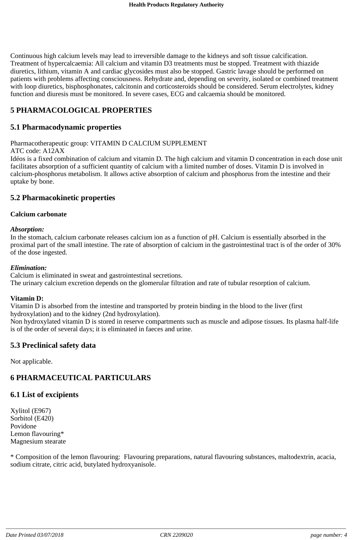Continuous high calcium levels may lead to irreversible damage to the kidneys and soft tissue calcification. Treatment of hypercalcaemia: All calcium and vitamin D3 treatments must be stopped. Treatment with thiazide diuretics, lithium, vitamin A and cardiac glycosides must also be stopped. Gastric lavage should be performed on patients with problems affecting consciousness. Rehydrate and, depending on severity, isolated or combined treatment with loop diuretics, bisphosphonates, calcitonin and corticosteroids should be considered. Serum electrolytes, kidney function and diuresis must be monitored. In severe cases, ECG and calcaemia should be monitored.

# **5 PHARMACOLOGICAL PROPERTIES**

# **5.1 Pharmacodynamic properties**

Pharmacotherapeutic group: VITAMIN D CALCIUM SUPPLEMENT ATC code: A12AX

Idéos is a fixed combination of calcium and vitamin D. The high calcium and vitamin D concentration in each dose unit facilitates absorption of a sufficient quantity of calcium with a limited number of doses. Vitamin D is involved in calcium-phosphorus metabolism. It allows active absorption of calcium and phosphorus from the intestine and their uptake by bone.

## **5.2 Pharmacokinetic properties**

#### **Calcium carbonate**

#### *Absorption:*

In the stomach, calcium carbonate releases calcium ion as a function of pH. Calcium is essentially absorbed in the proximal part of the small intestine. The rate of absorption of calcium in the gastrointestinal tract is of the order of 30% of the dose ingested.

#### *Elimination:*

Calcium is eliminated in sweat and gastrointestinal secretions. The urinary calcium excretion depends on the glomerular filtration and rate of tubular resorption of calcium.

#### **Vitamin D:**

Vitamin D is absorbed from the intestine and transported by protein binding in the blood to the liver (first hydroxylation) and to the kidney (2nd hydroxylation).

Non hydroxylated vitamin D is stored in reserve compartments such as muscle and adipose tissues. Its plasma half-life is of the order of several days; it is eliminated in faeces and urine.

## **5.3 Preclinical safety data**

Not applicable.

# **6 PHARMACEUTICAL PARTICULARS**

# **6.1 List of excipients**

Xylitol (E967) Sorbitol (E420) Povidone Lemon flavouring\* Magnesium stearate

\* Composition of the lemon flavouring: Flavouring preparations, natural flavouring substances, maltodextrin, acacia, sodium citrate, citric acid, butylated hydroxyanisole.